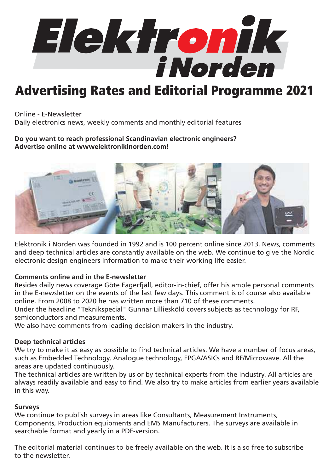

# Advertising Rates and Editorial Programme 2021

Online - E-Newsletter Daily electronics news, weekly comments and monthly editorial features

#### **Do you want to reach professional Scandinavian electronic engineers? Advertise online at wwwelektronikinorden.com!**



Elektronik i Norden was founded in 1992 and is 100 percent online since 2013. News, comments and deep technical articles are constantly available on the web. We continue to give the Nordic electronic design engineers information to make their working life easier.

### **Comments online and in the E-newsletter**

Besides daily news coverage Göte Fagerfjäll, editor-in-chief, offer his ample personal comments in the E-newsletter on the events of the last few days. This comment is of course also available online. From 2008 to 2020 he has written more than 710 of these comments.

Under the headline "Teknikspecial" Gunnar Lilliesköld covers subjects as technology for RF, semiconductors and measurements.

We also have comments from leading decision makers in the industry.

#### **Deep technical articles**

We try to make it as easy as possible to find technical articles. We have a number of focus areas, such as Embedded Technology, Analogue technology, FPGA/ASICs and RF/Microwave. All the areas are updated continuously.

The technical articles are written by us or by technical experts from the industry. All articles are always readily available and easy to find. We also try to make articles from earlier years available in this way.

#### **Surveys**

We continue to publish surveys in areas like Consultants, Measurement Instruments, Components, Production equipments and EMS Manufacturers. The surveys are available in searchable format and yearly in a PDF-version.

The editorial material continues to be freely available on the web. It is also free to subscribe to the newsletter.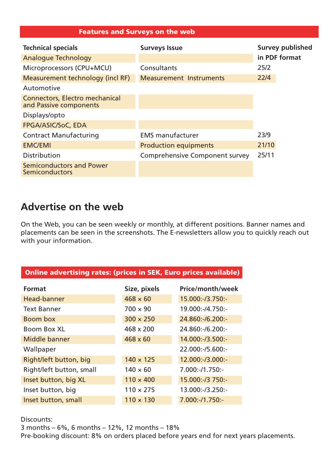#### Features and Surveys on the web

| <b>Technical specials</b>                                       | <b>Surveys Issue</b>                  | <b>Survey published</b> |
|-----------------------------------------------------------------|---------------------------------------|-------------------------|
| <b>Analogue Technology</b>                                      |                                       | in PDF format           |
| Microprocessors (CPU+MCU)                                       | Consultants                           | 25/2                    |
| Measurement technology (incl RF)                                | <b>Measurement Instruments</b>        | 22/4                    |
| Automotive                                                      |                                       |                         |
| <b>Connectors, Electro mechanical</b><br>and Passive components |                                       |                         |
| Displays/opto                                                   |                                       |                         |
| FPGA/ASIC/SoC, EDA                                              |                                       |                         |
| <b>Contract Manufacturing</b>                                   | <b>EMS manufacturer</b>               | 23/9                    |
| <b>EMC/EMI</b>                                                  | <b>Production equipments</b>          | 21/10                   |
| <b>Distribution</b>                                             | <b>Comprehensive Component survey</b> | 25/11                   |
| <b>Semiconductors and Power</b><br><b>Semiconductors</b>        |                                       |                         |

## **Advertise on the web**

On the Web, you can be seen weekly or monthly, at different positions. Banner names and placements can be seen in the screenshots. The E-newsletters allow you to quickly reach out with your information.

| Online advertising rates: (prices in SEK, Euro prices available) |                  |                   |  |  |
|------------------------------------------------------------------|------------------|-------------------|--|--|
| <b>Format</b>                                                    | Size, pixels     | Price/month/week  |  |  |
| Head-banner                                                      | $468 \times 60$  | 15.000:-/3.750:-  |  |  |
| <b>Text Banner</b>                                               | $700 \times 90$  | 19.000:-/4.750:-  |  |  |
| Boom box                                                         | $300 \times 250$ | 24.860:-/6.200:-  |  |  |
| <b>Boom Box XL</b>                                               | 468 x 200        | 24.860:-/6.200:-  |  |  |
| Middle banner                                                    | $468 \times 60$  | 14.000:-/3.500:-  |  |  |
| Wallpaper                                                        |                  | 22.000:-/5.600:-  |  |  |
| Right/left button, big                                           | $140 \times 125$ | 12.000:-/3.000:-  |  |  |
| Right/left button, small                                         | $140 \times 60$  | $7.000:-/1.750:-$ |  |  |
| Inset button, big XL                                             | $110 \times 400$ | 15.000:-/3 750:-  |  |  |
| Inset button, big                                                | $110 \times 275$ | 13.000:-/3.250:-  |  |  |
| Inset button, small                                              | $110 \times 130$ | 7.000:-/1.750:-   |  |  |

Discounts:

3 months – 6%, 6 months – 12%, 12 months – 18%

Pre-booking discount: 8% on orders placed before years end for next years placements.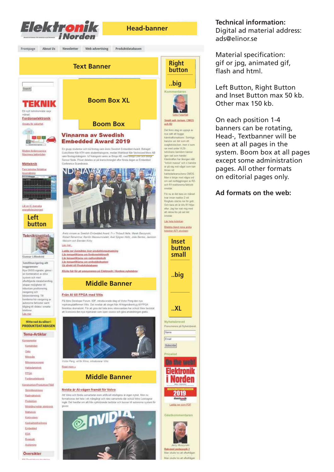

#### **Technical information:**

Digital ad material address: ads@elinor.se

Material specification: gif or jpg, animated gif, flash and html.

Left Button, Right Button and Inset Button max 50 kb. Other max 150 kb.

On each position 1-4 banners can be rotating, Head-, Textbanner will be seen at all pages in the system. Boom box at all pages except some administration pages. All other formats on editorial pages only.

#### **Ad formats on the web:**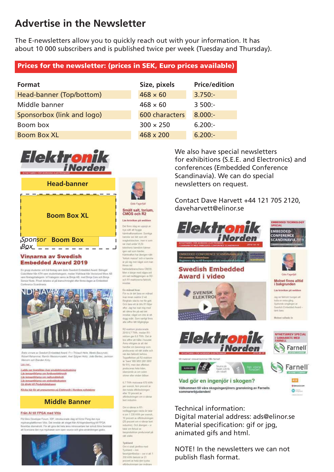# **Advertise in the Newsletter**

The E-newsletters allow you to quickly reach out with your information. It has about 10 000 subscribers and is published twice per week (Tuesday and Thursday).

### Prices for the newsletter: (prices in SEK, Euro prices available)

| Format                     | Size, pixels     | <b>Price/edition</b> |
|----------------------------|------------------|----------------------|
| Head-banner (Top/bottom)   | $468 \times 60$  | $3.750:-$            |
| Middle banner              | $468 \times 60$  | $3500:-$             |
| Sponsorbox (link and logo) | 600 characters   | $8.000:-$            |
| Boom box                   | $300 \times 250$ | $6.200:-$            |
| <b>Boom Box XL</b>         | 468 x 200        | $6.200:-$            |





#### **Vinnarna av Swedish Embedded Award 2019**

*Box*

Fix assert studenter not tub Norton vann andre Reachda Finte-Maria Assert Referent Louis Antonio (1999), and the State of Antonio Marine and State and State and State and State of Allian AB<br>Gabi State State State And That Angeles was a Strip AB, med Bings Core och Bings<br>Jann Stategolategorin, loT-kategor Sensor Node, Priset delades of oa branschminglet efter forsta dagen av Embedded



ev av 3 A.bebb Robert Rehammer Ramfin Massoumzadeh, Arel Siboner Holtz, João Bentez, Jackson Malcolm och Brenden Kirby Like mer

Ladda nor (versikten över produktionsatrustning Lät temaartiklarna om fordonselektronik Lis temaariklame om rediomäneksik<br>Lis temaariklame om embeddedsystem<br>Gi direkt till Froduktdatakane

Klicka blir för att prenumerera på Elektronik i Nordens nyhetsbrev

### **Middle Banner**

#### Från AI till FPGA med Vitis

På Xilina Developer Forum, XDF, imroducerade idag vid Victor Perrg den nya mjulvanuplattformen Vilis. Det imrebär att steget filer Al-högenlaverking till FPGA förervises den nya mjulvansen som open sons referantsen har också Xilins beslutat<br>att licensiera den nya mjulvansen som open source och gö



Smält salt, torium. CMOS och R2 Las kronikan på webben Det finns idag en versit av oer time roag en uppsjo av<br>nya sätt att bygga<br>kämkultareaktorer. Somliga kanske ser det som ett evaghetatecken, men vi som taknikera hamdom kanne inen vad som händer gen van som nanser.<br>Kämkraften har åtengen nått<br>"kritisk massa" och vi kanske ar på väg mot något som kan

twiss vid<br>halvledationschess CMOS<br>Men il bibger med några ord<br>om vad nedlaggringen av R2 oris D'Aussidmonte fairtisin

#### En månad kvar

thouse aid

 $\overline{\phantom{a}}$ 

For nu är det bara en månad liver most realdor 2 vid For mean maker a we<br>Finghals stacks nor for gott efter. Jag har roat min mudwhat using him rook mig mind<br>att säinsa like på vad det<br>imnelser, något om inte är ett<br>dugg svärt. Som vanligt firms alla siftur latt biliosedicu

R2 residom producerade<br>2018 6,T TWh, median R1 selves gav 6,6 TWN. Det av<br>bra siffre att hålla i hundert<br>Anna viktigare är att det<br>handlar om basenergi som produceras vid ram atalle och har den faktiskt b Toppeffekten på R2-reaktore<br>ar "bara" BBS MW (BB1 MW) thr R11 men dan effetter produceras hela tiden obmoonde av om oplet skings after sinden Måsa

6.7 TVW mid  $m = 670$  kWh per synnik, fam procent av den totala effotnukningen nen tutara emissionenegen<br>aller 10 procent av<br>allfotbulmingen om vi räknar<br>bot industrin.

Direct chiester in Rd. nedlaggringen nästa är talar<br>vi om 1 330 kWh per mensk  $\begin{array}{l} \text{10 present we sBstraining} \\ \text{6.21 present on } v \text{ tBirair bot} \\ \text{industire)} \text{. Oct ifamp} \\ \text{inninger} = 0 \end{array}$ tatar ani forust av bespreduktion producerad på ratt state

Tyskland ryskama<br>Om vi stali jämlins med<br>Tyskland – min<br>Steorljämlövelse – sor vi ari 1 330 kWh faldisht ar 21 icent av hela den tyska<br>Irbrukringen per insånar

We also have special newsletters for exhibitions (S.E.E. and Electronics) and conferences (Embedded Conference Scandinavia). We can do special newsletters on request.

Contact Dave Harvett +44 121 705 2120, daveharvett@elinor.se



#### Technical information:

Digital material address: ads@elinor.se Material specification: gif or jpg, animated gifs and html.

NOTE! In the newsletters we can not publish flash format.